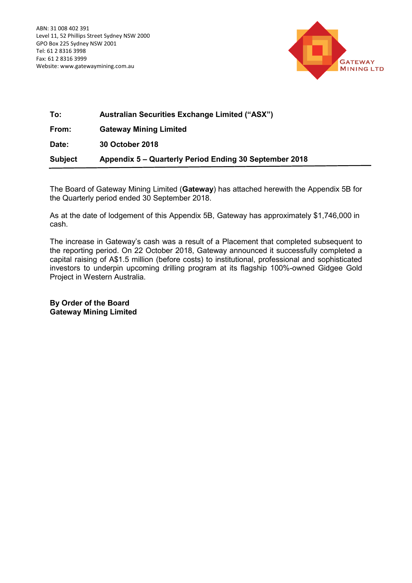

| To:            | <b>Australian Securities Exchange Limited ("ASX")</b>  |
|----------------|--------------------------------------------------------|
| From:          | <b>Gateway Mining Limited</b>                          |
| Date:          | 30 October 2018                                        |
| <b>Subject</b> | Appendix 5 – Quarterly Period Ending 30 September 2018 |

The Board of Gateway Mining Limited (**Gateway**) has attached herewith the Appendix 5B for the Quarterly period ended 30 September 2018.

As at the date of lodgement of this Appendix 5B, Gateway has approximately \$1,746,000 in cash.

The increase in Gateway's cash was a result of a Placement that completed subsequent to the reporting period. On 22 October 2018, Gateway announced it successfully completed a capital raising of A\$1.5 million (before costs) to institutional, professional and sophisticated investors to underpin upcoming drilling program at its flagship 100%-owned Gidgee Gold Project in Western Australia.

**By Order of the Board Gateway Mining Limited**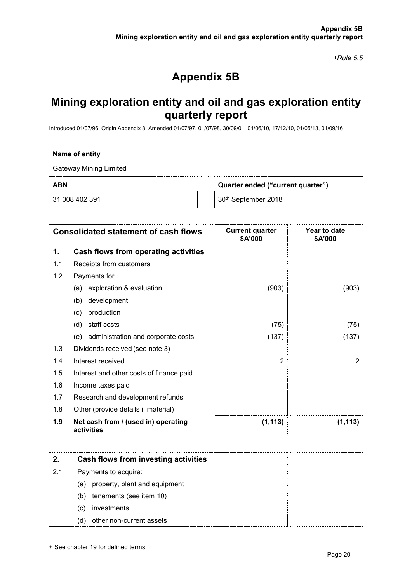*+Rule 5.5*

# **Appendix 5B**

## **Mining exploration entity and oil and gas exploration entity quarterly report**

Introduced 01/07/96 Origin Appendix 8 Amended 01/07/97, 01/07/98, 30/09/01, 01/06/10, 17/12/10, 01/05/13, 01/09/16

### **Name of entity**

Gateway Mining Limited

**ABN Quarter ended ("current quarter")**

31 008 402 391 30th September 2018

|     | <b>Consolidated statement of cash flows</b>       | <b>Current quarter</b><br>\$A'000 | Year to date<br>\$A'000 |
|-----|---------------------------------------------------|-----------------------------------|-------------------------|
| 1.  | <b>Cash flows from operating activities</b>       |                                   |                         |
| 1.1 | Receipts from customers                           |                                   |                         |
| 1.2 | Payments for                                      |                                   |                         |
|     | exploration & evaluation<br>(a)                   | (903)                             | (903)                   |
|     | development<br>(b)                                |                                   |                         |
|     | production<br>(c)                                 |                                   |                         |
|     | staff costs<br>(d)                                | (75)                              | (75)                    |
|     | (e) administration and corporate costs            | (137)                             | (137)                   |
| 1.3 | Dividends received (see note 3)                   |                                   |                         |
| 1.4 | Interest received                                 | $\overline{2}$                    | 2                       |
| 1.5 | Interest and other costs of finance paid          |                                   |                         |
| 1.6 | Income taxes paid                                 |                                   |                         |
| 1.7 | Research and development refunds                  |                                   |                         |
| 1.8 | Other (provide details if material)               |                                   |                         |
| 1.9 | Net cash from / (used in) operating<br>activities | (1, 113)                          | (1, 113)                |

|    | Cash flows from investing activities |  |
|----|--------------------------------------|--|
| 21 | Payments to acquire:                 |  |
|    | (a) property, plant and equipment    |  |
|    | tenements (see item 10)<br>(b)       |  |
|    | investments<br>(C)                   |  |
|    | other non-current assets<br>(d)      |  |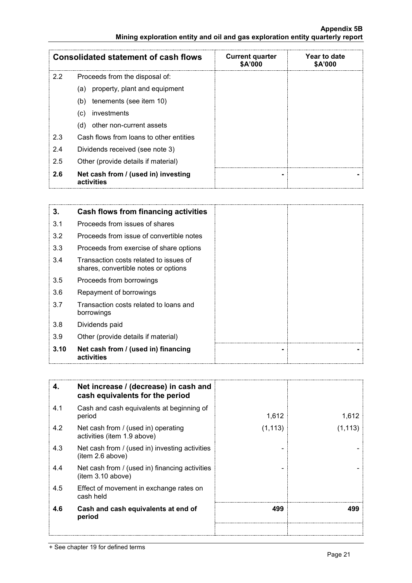### **Appendix 5B Mining exploration entity and oil and gas exploration entity quarterly report**

| <b>Consolidated statement of cash flows</b> |                                                   | <b>Current quarter</b><br>\$A'000 | Year to date<br><b>\$A'000</b> |
|---------------------------------------------|---------------------------------------------------|-----------------------------------|--------------------------------|
| 2.2                                         | Proceeds from the disposal of:                    |                                   |                                |
|                                             | (a) property, plant and equipment                 |                                   |                                |
|                                             | tenements (see item 10)<br>(b)                    |                                   |                                |
|                                             | investments<br>(C)                                |                                   |                                |
|                                             | other non-current assets<br>(d)                   |                                   |                                |
| 2.3                                         | Cash flows from loans to other entities           |                                   |                                |
| 2.4                                         | Dividends received (see note 3)                   |                                   |                                |
| 2.5                                         | Other (provide details if material)               |                                   |                                |
| 2.6                                         | Net cash from / (used in) investing<br>activities |                                   |                                |

| 3.   | <b>Cash flows from financing activities</b>                                    |
|------|--------------------------------------------------------------------------------|
| 3.1  | Proceeds from issues of shares                                                 |
| 3.2  | Proceeds from issue of convertible notes                                       |
| 3.3  | Proceeds from exercise of share options                                        |
| 3.4  | Transaction costs related to issues of<br>shares, convertible notes or options |
| 3.5  | Proceeds from borrowings                                                       |
| 3.6  | Repayment of borrowings                                                        |
| 3.7  | Transaction costs related to loans and<br>borrowings                           |
| 3.8  | Dividends paid                                                                 |
| 3.9  | Other (provide details if material)                                            |
| 3.10 | Net cash from / (used in) financing<br>activities                              |

| 4.  | Net increase / (decrease) in cash and<br>cash equivalents for the period |          |          |
|-----|--------------------------------------------------------------------------|----------|----------|
| 4.1 | Cash and cash equivalents at beginning of<br>period                      | 1,612    | 1,612    |
| 4.2 | Net cash from / (used in) operating<br>activities (item 1.9 above)       | (1, 113) | (1, 113) |
| 4.3 | Net cash from / (used in) investing activities<br>item 2.6 above)        |          |          |
| 4.4 | Net cash from / (used in) financing activities<br>(item 3.10 above)      |          |          |
| 4.5 | Effect of movement in exchange rates on<br>cash held                     |          |          |
| 4.6 | Cash and cash equivalents at end of<br>period                            | 499      | 499      |
|     |                                                                          |          |          |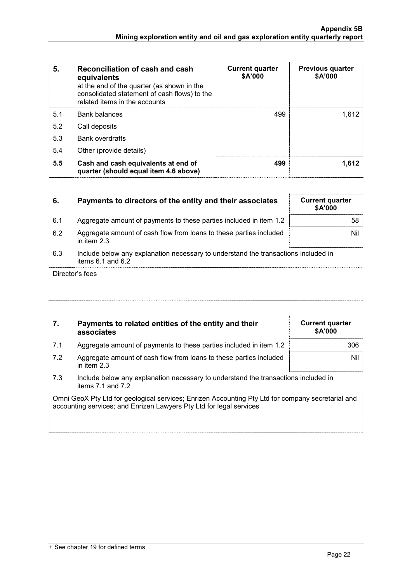| 5.  | Reconciliation of cash and cash<br>equivalents<br>at the end of the quarter (as shown in the<br>consolidated statement of cash flows) to the<br>related items in the accounts | <b>Current quarter</b><br>\$A'000 | <b>Previous quarter</b><br>\$A'000 |
|-----|-------------------------------------------------------------------------------------------------------------------------------------------------------------------------------|-----------------------------------|------------------------------------|
| 5.1 | Bank balances                                                                                                                                                                 | 499                               | 1.612                              |
| 5.2 | Call deposits                                                                                                                                                                 |                                   |                                    |
| 5.3 | <b>Bank overdrafts</b>                                                                                                                                                        |                                   |                                    |
| 5.4 | Other (provide details)                                                                                                                                                       |                                   |                                    |
| 5.5 | Cash and cash equivalents at end of<br>quarter (should equal item 4.6 above)                                                                                                  | 499                               | 1.612                              |

| 6.    | Payments to directors of the entity and their associates                            | <b>Current quarter</b><br><b>\$A'000</b> |
|-------|-------------------------------------------------------------------------------------|------------------------------------------|
| 6.1   | Aggregate amount of payments to these parties included in item 1.2                  | 58                                       |
| 6.2   | Aggregate amount of cash flow from loans to these parties included<br>in item $2.3$ | Nil                                      |
| . ደ 3 | Include helow any explanation pecessary to understand the transactions included in  |                                          |

6.3 Include below any explanation necessary to understand the transactions included in items 6.1 and 6.2

Director's fees

| 7. | Payments to related entities of the entity and their |
|----|------------------------------------------------------|
|    | associates                                           |

- 7.1 Aggregate amount of payments to these parties included in item 1.2
- 7.2 Aggregate amount of cash flow from loans to these parties included in item 2.3
- 7.3 Include below any explanation necessary to understand the transactions included in items 7.1 and 7.2

Omni GeoX Pty Ltd for geological services; Enrizen Accounting Pty Ltd for company secretarial and accounting services; and Enrizen Lawyers Pty Ltd for legal services

| <b>Current quarter</b><br>\$A'000 |
|-----------------------------------|
| 306                               |
| Nil                               |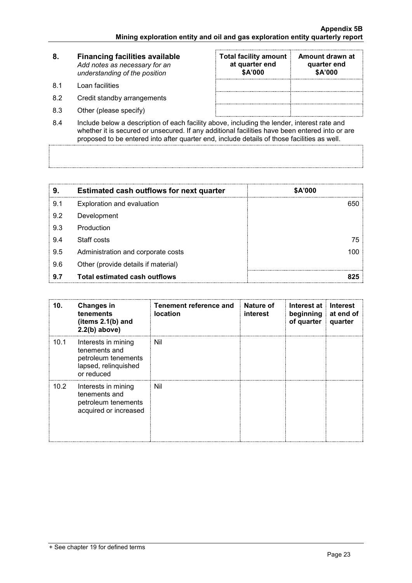| 8. | <b>Financing facilities available</b> |
|----|---------------------------------------|
|    | Add notes as necessary for an         |
|    | understanding of the position         |

- 8.1 Loan facilities
- 8.2 Credit standby arrangements
- 8.3 Other (please specify)

| <b>Total facility amount</b><br>at quarter end<br>\$A'000 | Amount drawn at<br>quarter end<br>\$A'000 |
|-----------------------------------------------------------|-------------------------------------------|
|                                                           |                                           |
|                                                           |                                           |
|                                                           |                                           |

8.4 Include below a description of each facility above, including the lender, interest rate and whether it is secured or unsecured. If any additional facilities have been entered into or are proposed to be entered into after quarter end, include details of those facilities as well.

| 9.  | <b>Estimated cash outflows for next quarter</b> | <b>\$A'000</b> |
|-----|-------------------------------------------------|----------------|
| 9.1 | Exploration and evaluation                      | 650            |
| 9.2 | Development                                     |                |
| 9.3 | Production                                      |                |
| 9.4 | Staff costs                                     | 75.            |
| 9.5 | Administration and corporate costs              |                |
| 9.6 | Other (provide details if material)             |                |
| 9.7 | <b>Total estimated cash outflows</b>            |                |

| 10.  | <b>Changes in</b><br>tenements<br>(items $2.1(b)$ and<br>$2.2(b)$ above)                          | Tenement reference and<br>location | Nature of<br>interest | Interest at<br>beginning at end of<br>of quarter | <b>Interest</b><br>quarter |
|------|---------------------------------------------------------------------------------------------------|------------------------------------|-----------------------|--------------------------------------------------|----------------------------|
| 10.1 | Interests in mining<br>tenements and<br>petroleum tenements<br>lapsed, relinquished<br>or reduced | Nil                                |                       |                                                  |                            |
| 10.2 | Interests in mining<br>tenements and<br>petroleum tenements<br>acquired or increased              | Nil                                |                       |                                                  |                            |